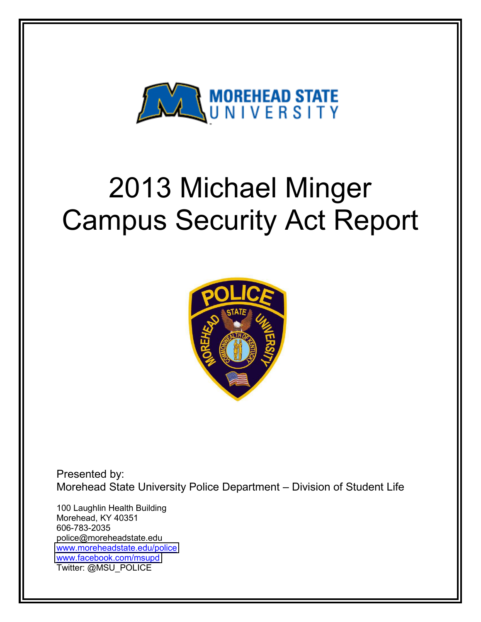

# 2013 Michael Minger Campus Security Act Report



Presented by: Morehead State University Police Department - Division of Student Life

100 Laughlin Health Building Morehead, KY 40351 606-783-2035 police@moreheadstate.edu [www.moreheadstate.edu/police](http://www.moreheadstate.edu/police) [www.facebook.com/msupd](http://www.facebook.com/msupd) Twitter: @MSU\_POLICE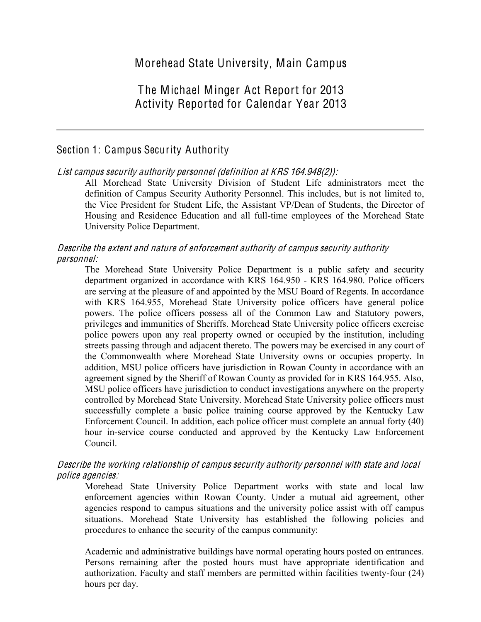# The Michael Minger Act Report for 2013 Activity Reported for Calendar Year 2013

# Section 1: Campus Security Authority

#### List <sup>c</sup>ampu<sup>s</sup> <sup>s</sup>ecurity authority personnel (definition <sup>a</sup>t KRS 164.948(2)):

All Morehead State University Division of Student Life administrators meet the definition of Campus Security Authority Personnel. This includes, but is not limited to, the Vice President for Student Life, the Assistant VP/Dean of Students, the Director of Housing and Residence Education and all full-time employees of the Morehead State University Police Department.

#### Describ<sup>e</sup> th<sup>e</sup> <sup>e</sup>xtent and natur<sup>e</sup> of <sup>e</sup>nforcement authority of <sup>c</sup>ampu<sup>s</sup> <sup>s</sup>ecurity authority personnel:

The Morehead State University Police Department is a public safety and security department organized in accordance with KRS 164.950 - KRS 164.980. Police officers are serving at the pleasure of and appointed by the MSU Board of Regents. In accordance with KRS 164.955, Morehead State University police officers have general police powers. The police officers possess all of the Common Law and Statutory powers, privileges and immunities of Sheriffs. Morehead State University police officers exercise police powers upon any real property owned or occupied by the institution, including streets passing through and adjacent thereto. The powers may be exercised in any court of the Commonwealth where Morehead State University owns or occupies property. In addition, MSU police officers have jurisdiction in Rowan County in accordance with an agreement signed by the Sheriff of Rowan County as provided for in KRS 164.955. Also, MSU police officers have jurisdiction to conduct investigations anywhere on the property controlled by Morehead State University. Morehead State University police officers must successfully complete a basic police training course approved by the Kentucky Law Enforcement Council. In addition, each police officer must complete an annual forty (40) hour in-service course conducted and approved by the Kentucky Law Enforcement Council.

#### Describ<sup>e</sup> th<sup>e</sup> working <sup>r</sup>elationship of <sup>c</sup>ampu<sup>s</sup> <sup>s</sup>ecurity authority personnel with stat<sup>e</sup> and local police agencies:

Morehead State University Police Department works with state and local law enforcement agencies within Rowan County. Under a mutual aid agreement, other agencies respond to campus situations and the university police assist with off campus situations. Morehead State University has established the following policies and procedures to enhance the security of the campus community:

Academic and administrative buildings have normal operating hours posted on entrances. Persons remaining after the posted hours must have appropriate identification and authorization. Faculty and staff members are permitted within facilities twenty-four (24) hours per day.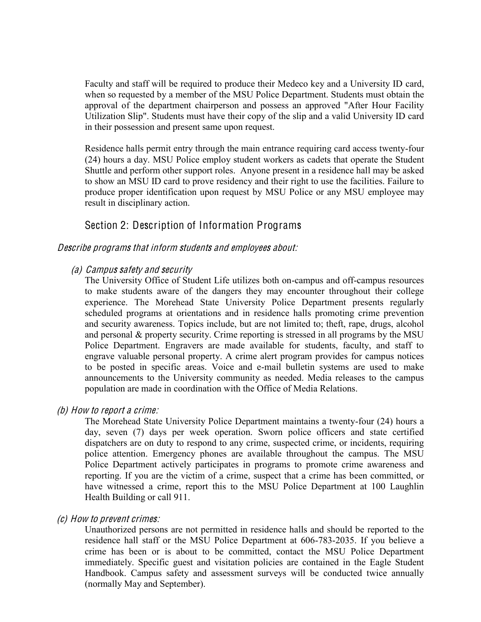Faculty and staff will be required to produce their Medeco key and a University ID card, when so requested by a member of the MSU Police Department. Students must obtain the approval of the department chairperson and possess an approved "After Hour Facility Utilization Slip". Students must have their copy of the slip and a valid University ID card in their possession and present same upon request.

Residence halls permit entry through the main entrance requiring card access twenty-four (24) hours a day. MSU Police employ student workers as cadets that operate the Student Shuttle and perform other support roles. Anyone present in a residence hall may be asked to show an MSU ID card to prove residency and their right to use the facilities. Failure to produce proper identification upon request by MSU Police or any MSU employee may result in disciplinary action.

Section 2: Description of Information Programs

# Describ<sup>e</sup> program<sup>s</sup> that inform students and <sup>e</sup>mployee<sup>s</sup> about:

#### (a) Campu<sup>s</sup> <sup>s</sup>afety and <sup>s</sup>ecurity

The University Office of Student Life utilizes both on-campus and off-campus resources to make students aware of the dangers they may encounter throughout their college experience. The Morehead State University Police Department presents regularly scheduled programs at orientations and in residence halls promoting crime prevention and security awareness. Topics include, but are not limited to; theft, rape, drugs, alcohol and personal & property security. Crime reporting is stressed in all programs by the MSU Police Department. Engravers are made available for students, faculty, and staff to engrave valuable personal property. A crime alert program provides for campus notices to be posted in specific areas. Voice and e-mail bulletin systems are used to make announcements to the University community as needed. Media releases to the campus population are made in coordination with the Office of Media Relations.

#### (b) How t<sup>o</sup> <sup>r</sup>eport <sup>a</sup> <sup>c</sup>rime:

The Morehead State University Police Department maintains a twenty-four (24) hours a day, seven (7) days per week operation. Sworn police officers and state certified dispatchers are on duty to respond to any crime, suspected crime, or incidents, requiring police attention. Emergency phones are available throughout the campus. The MSU Police Department actively participates in programs to promote crime awareness and reporting. If you are the victim of a crime, suspect that a crime has been committed, or have witnessed a crime, report this to the MSU Police Department at 100 Laughlin Health Building or call 911.

#### (c) How t<sup>o</sup> prevent <sup>c</sup>rimes:

Unauthorized persons are not permitted in residence halls and should be reported to the residence hall staff or the MSU Police Department at 606-783-2035. If you believe a crime has been or is about to be committed, contact the MSU Police Department immediately. Specific guest and visitation policies are contained in the Eagle Student Handbook. Campus safety and assessment surveys will be conducted twice annually (normally May and September).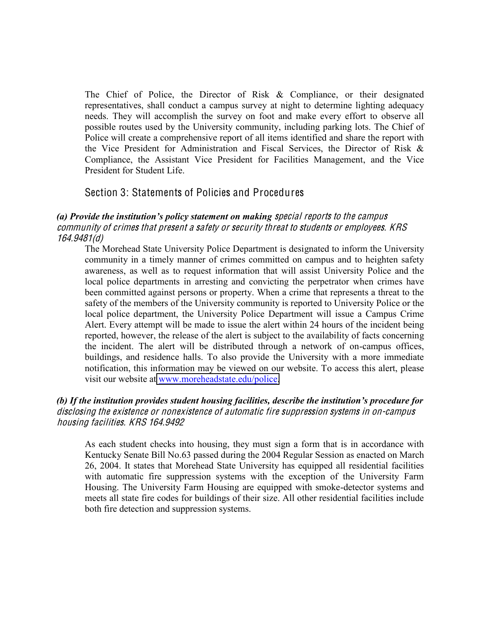The Chief of Police, the Director of Risk & Compliance, or their designated representatives, shall conduct a campus survey at night to determine lighting adequacy needs. They will accomplish the survey on foot and make every effort to observe all possible routes used by the University community, including parking lots. The Chief of Police will create a comprehensive report of all items identified and share the report with the Vice President for Administration and Fiscal Services, the Director of Risk & Compliance, the Assistant Vice President for Facilities Management, and the Vice President for Student Life.

# Section 3: Statements of Policies and Procedures

#### (a) Provide the institution's policy statement on making special reports to the campus <sup>c</sup>ommunity of <sup>c</sup>rime<sup>s</sup> that present <sup>a</sup> <sup>s</sup>afety or <sup>s</sup>ecurity threat t<sup>o</sup> students or <sup>e</sup>mployees. KRS 164.9481(d)

The Morehead State University Police Department is designated to inform the University community in a timely manner of crimes committed on campus and to heighten safety awareness, as well as to request information that will assist University Police and the local police departments in arresting and convicting the perpetrator when crimes have been committed against persons or property. When a crime that represents a threat to the safety of the members of the University community is reported to University Police or the local police department, the University Police Department will issue a Campus Crime Alert. Every attempt will be made to issue the alert within 24 hours of the incident being reported, however, the release of the alert is subject to the availability of facts concerning the incident. The alert will be distributed through a network of on-campus offices, buildings, and residence halls. To also provide the University with a more immediate notification, this information may be viewed on our website. To access this alert, please visit our website at [www.moreheadstate.edu/police.](http://www.moreheadstate.edu/police)

#### (b) If the institution provides student housing facilities, describe the institution's procedure for disclosing th<sup>e</sup> <sup>e</sup>xistence or nonexistence of automati<sup>c</sup> fir<sup>e</sup> <sup>s</sup>uppression <sup>s</sup>ystem<sup>s</sup> in on-campu<sup>s</sup> housing facilities. KRS 164.9492

As each student checks into housing, they must sign a form that is in accordance with Kentucky Senate Bill No.63 passed during the 2004 Regular Session as enacted on March 26, 2004. It states that Morehead State University has equipped all residential facilities with automatic fire suppression systems with the exception of the University Farm Housing. The University Farm Housing are equipped with smoke-detector systems and meets all state fire codes for buildings of their size. All other residential facilities include both fire detection and suppression systems.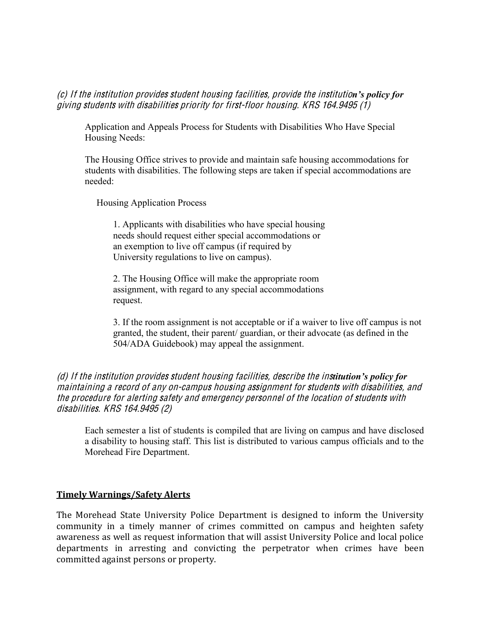(c) If the institution provides student housing facilities, provide the institution's policy for giving students with disabilitie<sup>s</sup> priority for first-floor housing. KRS 164.9495 (1)

Application and Appeals Process for Students with Disabilities Who Have Special Housing Needs:

The Housing Office strives to provide and maintain safe housing accommodations for students with disabilities. The following steps are taken if special accommodations are needed:

Housing Application Process

1. Applicants with disabilities who have special housing needs should request either special accommodations or an exemption to live off campus (if required by University regulations to live on campus).

2. The Housing Office will make the appropriate room assignment, with regard to any special accommodations request.

3. If the room assignment is not acceptable or if a waiver to live off campus is not granted, the student, their parent/ guardian, or their advocate (as defined in the 504/ADA Guidebook) may appeal the assignment.

(d) If the institution provides student housing facilities, describe the institution's policy for maintaining <sup>a</sup> <sup>r</sup>ecord of any on-campu<sup>s</sup> housing <sup>a</sup>ssignm<sup>e</sup>nt for students with disabilities, and th<sup>e</sup> procedur<sup>e</sup> for alerting <sup>s</sup>afety and <sup>e</sup>mergency personnel of th<sup>e</sup> location of students with disabilities. KRS 164.9495 (2)

Each semester a list of students is compiled that are living on campus and have disclosed a disability to housing staff. This list is distributed to various campus officials and to the Morehead Fire Department.

#### **Timely'Warnings/Safety'Alerts**

The Morehead State University Police Department is designed to inform the University community in a timely manner of crimes committed on campus and heighten safety awareness as well as request information that will assist University Police and local police departments in arresting and convicting the perpetrator when crimes have been committed against persons or property.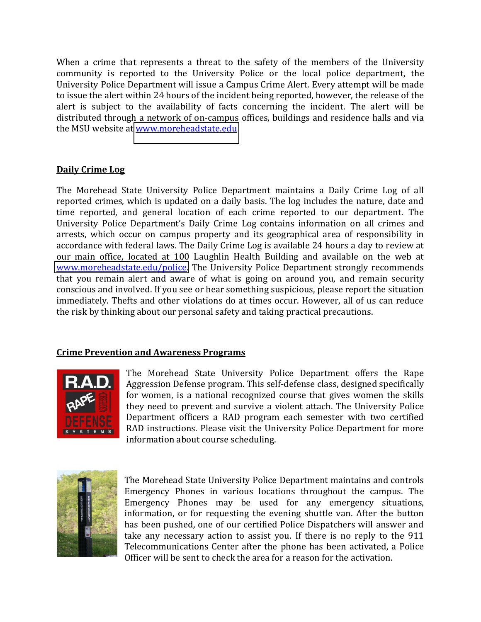When a crime that represents a threat to the safety of the members of the University community is reported to the University Police or the local police department, the University Police Department will issue a Campus Crime Alert. Every attempt will be made to issue the alert within 24 hours of the incident being reported, however, the release of the alert is subject to the availability of facts concerning the incident. The alert will be distributed through a network of on-campus offices, buildings and residence halls and via the MSU website at www.moreheadstate.edu

# **Daily Crime Log**

The Morehead State University Police Department maintains a Daily Crime Log of all reported crimes, which is updated on a daily basis. The log includes the nature, date and time reported, and general location of each crime reported to our department. The University Police Department's Daily Crime Log contains information on all crimes and arrests, which occur on campus property and its geographical area of responsibility in accordance with federal laws. The Daily Crime Log is available 24 hours a day to review at our main office, located at 100 Laughlin Health Building and available on the web at [www.moreheadstate.edu/police.](http://www.moreheadstate.edu/police) The University Police Department strongly recommends that you remain alert and aware of what is going on around you, and remain security conscious and involved. If you see or hear something suspicious, please report the situation immediately. Thefts and other violations do at times occur. However, all of us can reduce the risk by thinking about our personal safety and taking practical precautions.

#### **Crime Prevention and Awareness Programs**



The Morehead State University Police Department offers the Rape Aggression Defense program. This self-defense class, designed specifically for women, is a national recognized course that gives women the skills they need to prevent and survive a violent attach. The University Police Department officers a RAD program each semester with two certified RAD instructions. Please visit the University Police Department for more information about course scheduling.



The Morehead State University Police Department maintains and controls Emergency Phones in various locations throughout the campus. The Emergency Phones may be used for any emergency situations, information, or for requesting the evening shuttle van. After the button has been pushed, one of our certified Police Dispatchers will answer and take any necessary action to assist you. If there is no reply to the  $911$ Telecommunications Center after the phone has been activated, a Police Officer will be sent to check the area for a reason for the activation.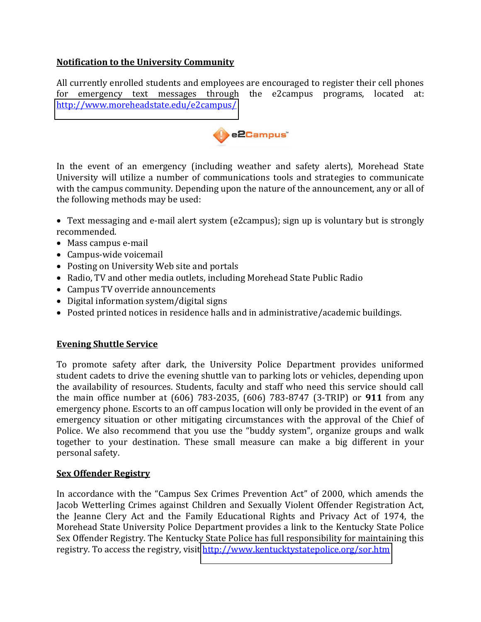# **Notification'to'the'University'Community**

All currently enrolled students and employees are encouraged to register their cell phones for emergency text messages through the e2campus programs, located at: <http://www.moreheadstate.edu/e2campus/>



In the event of an emergency (including weather and safety alerts), Morehead State University will utilize a number of communications tools and strategies to communicate with the campus community. Depending upon the nature of the announcement, any or all of the following methods may be used:

- Text messaging and e-mail alert system (e2campus); sign up is voluntary but is strongly recommended.\$
- $\bullet$  Mass campus e-mail
- $\bullet$  Campus-wide voicemail
- Posting on University Web site and portals
- Radio, TV and other media outlets, including Morehead State Public Radio
- Campus TV override announcements
- $\bullet$  Digital information system/digital signs
- Posted printed notices in residence halls and in administrative/academic buildings.

#### **Evening Shuttle Service**

To promote safety after dark, the University Police Department provides uniformed student cadets to drive the evening shuttle van to parking lots or vehicles, depending upon the availability of resources. Students, faculty and staff who need this service should call the main office number at (606) 783-2035, (606) 783-8747 (3-TRIP) or **911** from any emergency phone. Escorts to an off campus location will only be provided in the event of an emergency situation or other mitigating circumstances with the approval of the Chief of Police. We also recommend that you use the "buddy system", organize groups and walk together to your destination. These small measure can make a big different in your personal safety.

#### **Sex Offender Registry**

In accordance with the "Campus Sex Crimes Prevention Act" of 2000, which amends the Jacob Wetterling Crimes against Children and Sexually Violent Offender Registration Act, the Jeanne Clery Act and the Family Educational Rights and Privacy Act of 1974, the Morehead State University Police Department provides a link to the Kentucky State Police Sex Offender Registry. The Kentucky State Police has full responsibility for maintaining this registry. To access the registry, visit http://www.kentucktystatepolice.org/sor.htm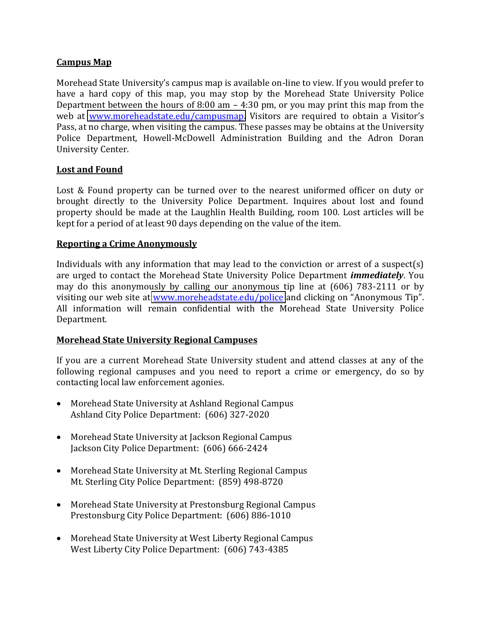#### **Campus'Map**

Morehead State University's campus map is available on-line to view. If you would prefer to have a hard copy of this map, you may stop by the Morehead State University Police Department between the hours of 8:00 am  $-$  4:30 pm, or you may print this map from the web at [www.moreheadstate.edu/campusmap.](http://www.moreheadstate.edu/campusmap) Visitors are required to obtain a Visitor's Pass, at no charge, when visiting the campus. These passes may be obtains at the University Police Department, Howell-McDowell Administration Building and the Adron Doran University Center.

#### Lost and Found

Lost & Found property can be turned over to the nearest uniformed officer on duty or brought directly to the University Police Department. Inquires about lost and found property should be made at the Laughlin Health Building, room 100. Lost articles will be kept for a period of at least 90 days depending on the value of the item.

#### **Reporting a Crime Anonymously**

Individuals with any information that may lead to the conviction or arrest of a suspect(s) are urged to contact the Morehead State University Police Department *immediately*. You may do this anonymously by calling our anonymous tip line at  $(606)$  783-2111 or by visiting our web site at www.moreheadstate.edu/police and clicking on "Anonymous Tip". All information will remain confidential with the Morehead State University Police Department.

#### **Morehead'State'University'Regional'Campuses**

If you are a current Morehead State University student and attend classes at any of the following regional campuses and you need to report a crime or emergency, do so by contacting local law enforcement agonies.

- Morehead State University at Ashland Regional Campus Ashland City Police Department: (606) 327-2020
- Morehead State University at Jackson Regional Campus Jackson City Police Department: (606) 666-2424
- Morehead State University at Mt. Sterling Regional Campus Mt. Sterling City Police Department: (859) 498-8720
- Morehead State University at Prestonsburg Regional Campus Prestonsburg City Police Department: (606) 886-1010
- Morehead State University at West Liberty Regional Campus West Liberty City Police Department: (606) 743-4385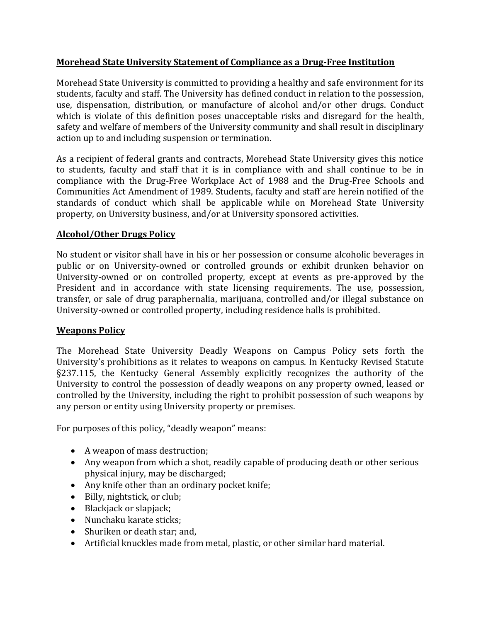# **Morehead'State'University'Statement'of'Compliance'as'a'DrugIFree'Institution**

Morehead State University is committed to providing a healthy and safe environment for its students, faculty and staff. The University has defined conduct in relation to the possession, use, dispensation, distribution, or manufacture of alcohol and/or other drugs. Conduct which is violate of this definition poses unacceptable risks and disregard for the health, safety and welfare of members of the University community and shall result in disciplinary action up to and including suspension or termination.

As a recipient of federal grants and contracts, Morehead State University gives this notice to students, faculty and staff that it is in compliance with and shall continue to be in compliance with the Drug-Free Workplace Act of 1988 and the Drug-Free Schools and Communities Act Amendment of 1989. Students, faculty and staff are herein notified of the standards of conduct which shall be applicable while on Morehead State University property, on University business, and/or at University sponsored activities.

# **Alcohol/Other'Drugs'Policy**

No student or visitor shall have in his or her possession or consume alcoholic beverages in public or on University-owned or controlled grounds or exhibit drunken behavior on University-owned or on controlled property, except at events as pre-approved by the President and in accordance with state licensing requirements. The use, possession, transfer, or sale of drug paraphernalia, marijuana, controlled and/or illegal substance on University-owned or controlled property, including residence halls is prohibited.

#### **Weapons'Policy**

The Morehead State University Deadly Weapons on Campus Policy sets forth the University's prohibitions as it relates to weapons on campus. In Kentucky Revised Statute §237.115, the Kentucky General Assembly explicitly recognizes the authority of the University to control the possession of deadly weapons on any property owned, leased or controlled by the University, including the right to prohibit possession of such weapons by any person or entity using University property or premises.

For purposes of this policy, "deadly weapon" means:

- $\bullet$  A weapon of mass destruction;
- Any weapon from which a shot, readily capable of producing death or other serious physical injury, may be discharged;
- Any knife other than an ordinary pocket knife;
- $\bullet$  Billy, nightstick, or club;
- $\bullet$  Blackjack or slapjack;
- Nunchaku karate sticks:
- Shuriken or death star; and,
- Artificial knuckles made from metal, plastic, or other similar hard material.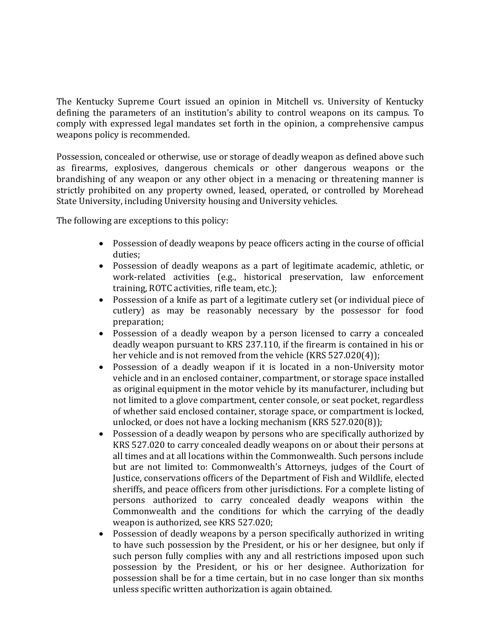The Kentucky Supreme Court issued an opinion in Mitchell vs. University of Kentucky defining the parameters of an institution's ability to control weapons on its campus. To comply with expressed legal mandates set forth in the opinion, a comprehensive campus weapons policy is recommended.

Possession, concealed or otherwise, use or storage of deadly weapon as defined above such as firearms, explosives, dangerous chemicals or other dangerous weapons or the brandishing of any weapon or any other object in a menacing or threatening manner is strictly prohibited on any property owned, leased, operated, or controlled by Morehead State University, including University housing and University vehicles.

The following are exceptions to this policy:

- Possession of deadly weapons by peace officers acting in the course of official  $\bullet$ duties;
- Possession of deadly weapons as a part of legitimate academic, athletic, or work-related activities (e.g., historical preservation, law enforcement training, ROTC activities, rifle team, etc.);
- Possession of a knife as part of a legitimate cutlery set (or individual piece of cutlery) as may be reasonably necessary by the possessor for food preparation;
- Possession of a deadly weapon by a person licensed to carry a concealed deadly weapon pursuant to KRS 237.110, if the firearm is contained in his or her vehicle and is not removed from the vehicle (KRS  $527.020(4)$ );
- Possession of a deadly weapon if it is located in a non-University motor vehicle and in an enclosed container, compartment, or storage space installed as original equipment in the motor vehicle by its manufacturer, including but not limited to a glove compartment, center console, or seat pocket, regardless of whether said enclosed container, storage space, or compartment is locked, unlocked, or does not have a locking mechanism (KRS  $527.020(8)$ );
- Possession of a deadly weapon by persons who are specifically authorized by KRS 527.020 to carry concealed deadly weapons on or about their persons at all times and at all locations within the Commonwealth. Such persons include but are not limited to: Commonwealth's Attorneys, judges of the Court of Justice, conservations officers of the Department of Fish and Wildlife, elected sheriffs, and peace officers from other jurisdictions. For a complete listing of persons authorized to carry concealed deadly weapons within the Commonwealth and the conditions for which the carrying of the deadly weapon is authorized, see KRS 527.020;
- Possession of deadly weapons by a person specifically authorized in writing to have such possession by the President, or his or her designee, but only if such person fully complies with any and all restrictions imposed upon such possession by the President, or his or her designee. Authorization for possession shall be for a time certain, but in no case longer than six months unless specific written authorization is again obtained.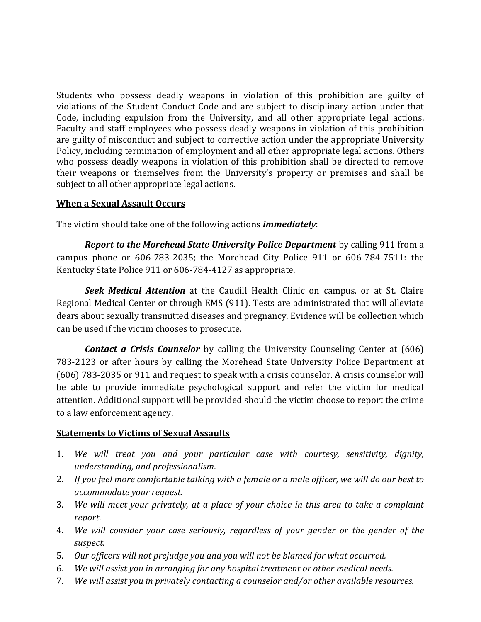Students who possess deadly weapons in violation of this prohibition are guilty of violations of the Student Conduct Code and are subject to disciplinary action under that Code, including expulsion from the University, and all other appropriate legal actions. Faculty and staff employees who possess deadly weapons in violation of this prohibition are guilty of misconduct and subject to corrective action under the appropriate University Policy, including termination of employment and all other appropriate legal actions. Others who possess deadly weapons in violation of this prohibition shall be directed to remove their weapons or themselves from the University's property or premises and shall be subject to all other appropriate legal actions.

# **When a Sexual Assault Occurs**

The victim should take one of the following actions *immediately*:

*Report to the Morehead State-University Police Department* by calling 911 from a campus phone or  $606-783-2035$ ; the Morehead City Police 911 or  $606-784-7511$ : the Kentucky State Police 911 or 606-784-4127 as appropriate.

**Seek Medical Attention** at the Caudill Health Clinic on campus, or at St. Claire Regional Medical Center or through EMS (911). Tests are administrated that will alleviate dears about sexually transmitted diseases and pregnancy. Evidence will be collection which can be used if the victim chooses to prosecute.

*Contact a Crisis- Counselor* by calling the University Counseling Center at (606) 783-2123 or after hours by calling the Morehead State University Police Department at  $(606)$  783-2035 or 911 and request to speak with a crisis counselor. A crisis counselor will be able to provide immediate psychological support and refer the victim for medical attention. Additional support will be provided should the victim choose to report the crime to a law enforcement agency.

#### **Statements to Victims of Sexual Assaults**

- 1. We will treat you and your particular case with courtesy, sensitivity, dignity, *understanding,#and#professionalism*.
- 2. If you feel more comfortable talking with a female or a male officer, we will do our best to *accommodate#your#request.*
- 3. *We will meet your privately, at a place of your choice in this area to take a complaint report.*
- 4. *We will consider your case seriously, regardless of your gender or the gender of the suspect.*
- 5. Our officers will not prejudge you and you will not be blamed for what occurred.
- 6. We will assist you in arranging for any hospital treatment or other medical needs.
- 7. We will assist you in privately contacting a counselor and/or other available resources.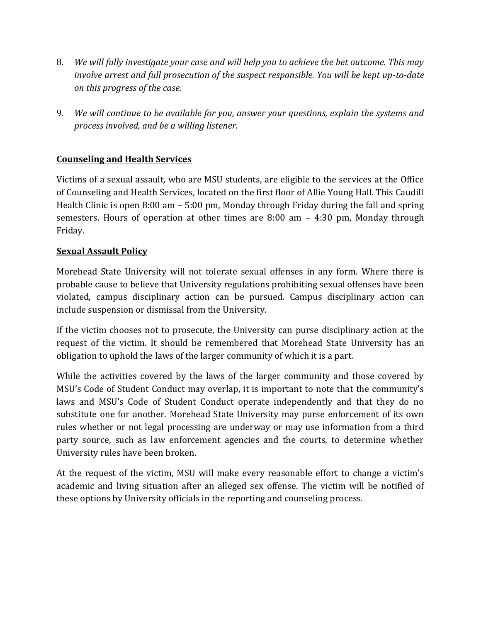- 8. *We will fully investigate your case and will help you to achieve the bet outcome. This may involve arrest and full prosecution of the suspect responsible. You will be kept up-to-date on this progress of the case.*
- 9. *We will continue to be available for you, answer your questions, explain the systems and process involved, and be a willing listener.*

# **Counseling and Health Services**

Victims of a sexual assault, who are MSU students, are eligible to the services at the Office of Counseling and Health Services, located on the first floor of Allie Young Hall. This Caudill Health Clinic is open  $8:00$  am  $-5:00$  pm, Monday through Friday during the fall and spring semesters. Hours of operation at other times are  $8:00$  am  $-$  4:30 pm, Monday through Friday.

# **Sexual Assault Policy**

Morehead State University will not tolerate sexual offenses in any form. Where there is probable cause to believe that University regulations prohibiting sexual offenses have been violated, campus disciplinary action can be pursued. Campus disciplinary action can include suspension or dismissal from the University.

If the victim chooses not to prosecute, the University can purse disciplinary action at the request of the victim. It should be remembered that Morehead State University has an obligation to uphold the laws of the larger community of which it is a part.

While the activities covered by the laws of the larger community and those covered by MSU's Code of Student Conduct may overlap, it is important to note that the community's laws and MSU's Code of Student Conduct operate independently and that they do no substitute one for another. Morehead State University may purse enforcement of its own rules whether or not legal processing are underway or may use information from a third party source, such as law enforcement agencies and the courts, to determine whether University rules have been broken.

At the request of the victim, MSU will make every reasonable effort to change a victim's academic and living situation after an alleged sex offense. The victim will be notified of these options by University officials in the reporting and counseling process.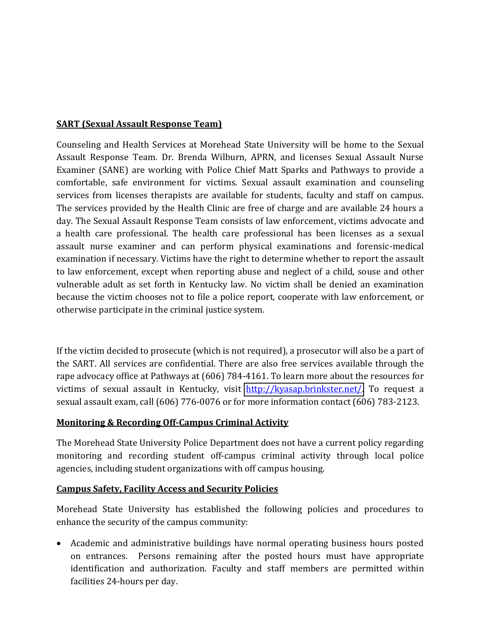# **SART (Sexual Assault Response Team)**

Counseling and Health Services at Morehead State University will be home to the Sexual Assault Response Team. Dr. Brenda Wilburn, APRN, and licenses Sexual Assault Nurse Examiner (SANE) are working with Police Chief Matt Sparks and Pathways to provide a comfortable, safe environment for victims. Sexual assault examination and counseling services from licenses therapists are available for students, faculty and staff on campus. The services provided by the Health Clinic are free of charge and are available 24 hours a day. The Sexual Assault Response Team consists of law enforcement, victims advocate and a health care professional. The health care professional has been licenses as a sexual assault nurse examiner and can perform physical examinations and forensic-medical examination if necessary. Victims have the right to determine whether to report the assault to law enforcement, except when reporting abuse and neglect of a child, souse and other vulnerable adult as set forth in Kentucky law. No victim shall be denied an examination because the victim chooses not to file a police report, cooperate with law enforcement, or otherwise participate in the criminal justice system.

If the victim decided to prosecute (which is not required), a prosecutor will also be a part of the SART. All services are confidential. There are also free services available through the rape advocacy office at Pathways at (606) 784-4161. To learn more about the resources for victims of sexual assault in Kentucky, visit **http://kyasap.brinkster.net/**. To request a sexual assault exam, call (606) 776-0076 or for more information contact (606) 783-2123.

# **Monitoring & Recording Off-Campus Criminal Activity**

The Morehead State University Police Department does not have a current policy regarding monitoring and recording student off-campus criminal activity through local police agencies, including student organizations with off campus housing.

# **Campus'Safety,'Facility'Access'and'Security'Policies**

Morehead State University has established the following policies and procedures to enhance the security of the campus community:

• Academic and administrative buildings have normal operating business hours posted on entrances. Persons remaining after the posted hours must have appropriate identification and authorization. Faculty and staff members are permitted within facilities 24-hours per day.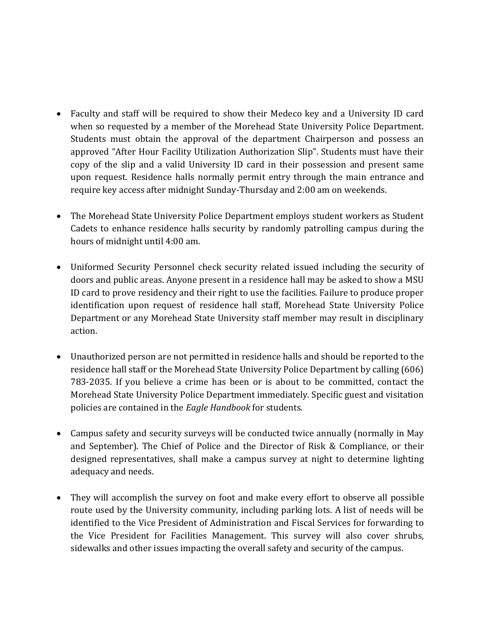- Faculty and staff will be required to show their Medeco key and a University ID card when so requested by a member of the Morehead State University Police Department. Students must obtain the approval of the department Chairperson and possess an approved "After Hour Facility Utilization Authorization Slip". Students must have their copy of the slip and a valid University ID card in their possession and present same upon request. Residence halls normally permit entry through the main entrance and require key access after midnight Sunday-Thursday and 2:00 am on weekends.
- The Morehead State University Police Department employs student workers as Student Cadets to enhance residence halls security by randomly patrolling campus during the hours of midnight until 4:00 am.
- Uniformed Security Personnel check security related issued including the security of doors and public areas. Anyone present in a residence hall may be asked to show a MSU ID card to prove residency and their right to use the facilities. Failure to produce proper identification upon request of residence hall staff, Morehead State University Police Department or any Morehead State University staff member may result in disciplinary action.
- Unauthorized person are not permitted in residence halls and should be reported to the residence hall staff or the Morehead State University Police Department by calling (606) 783-2035. If you believe a crime has been or is about to be committed, contact the Morehead State University Police Department immediately. Specific guest and visitation policies are contained in the *Eagle Handbook* for students.
- Campus safety and security surveys will be conducted twice annually (normally in May and September). The Chief of Police and the Director of Risk & Compliance, or their designed representatives, shall make a campus survey at night to determine lighting adequacy and needs.
- They will accomplish the survey on foot and make every effort to observe all possible route used by the University community, including parking lots. A list of needs will be identified to the Vice President of Administration and Fiscal Services for forwarding to the Vice President for Facilities Management. This survey will also cover shrubs, sidewalks and other issues impacting the overall safety and security of the campus.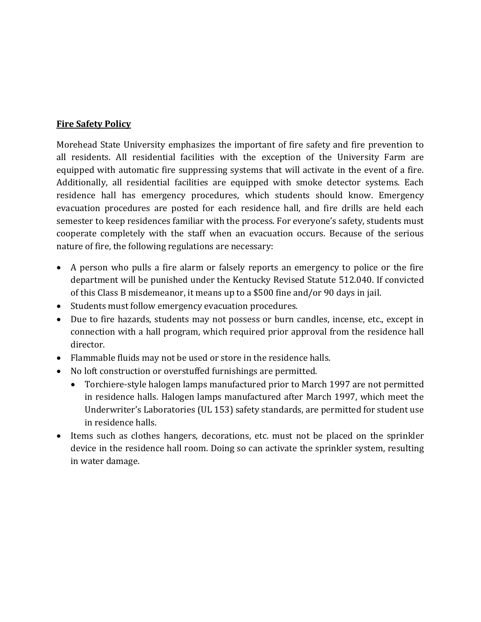### **Fire Safety Policy**

Morehead State University emphasizes the important of fire safety and fire prevention to all residents. All residential facilities with the exception of the University Farm are equipped with automatic fire suppressing systems that will activate in the event of a fire. Additionally, all residential facilities are equipped with smoke detector systems. Each residence hall has emergency procedures, which students should know. Emergency evacuation procedures are posted for each residence hall, and fire drills are held each semester to keep residences familiar with the process. For everyone's safety, students must cooperate completely with the staff when an evacuation occurs. Because of the serious nature of fire, the following regulations are necessary:

- A person who pulls a fire alarm or falsely reports an emergency to police or the fire department will be punished under the Kentucky Revised Statute 512.040. If convicted of this Class B misdemeanor, it means up to a \$500 fine and/or 90 days in jail.
- Students must follow emergency evacuation procedures.
- Due to fire hazards, students may not possess or burn candles, incense, etc., except in connection with a hall program, which required prior approval from the residence hall director.
- $\bullet$  Flammable fluids may not be used or store in the residence halls.
- No loft construction or overstuffed furnishings are permitted.
	- Torchiere-style halogen lamps manufactured prior to March 1997 are not permitted in residence halls. Halogen lamps manufactured after March 1997, which meet the Underwriter's Laboratories (UL 153) safety standards, are permitted for student use in residence halls.
- Items such as clothes hangers, decorations, etc. must not be placed on the sprinkler device in the residence hall room. Doing so can activate the sprinkler system, resulting in water damage.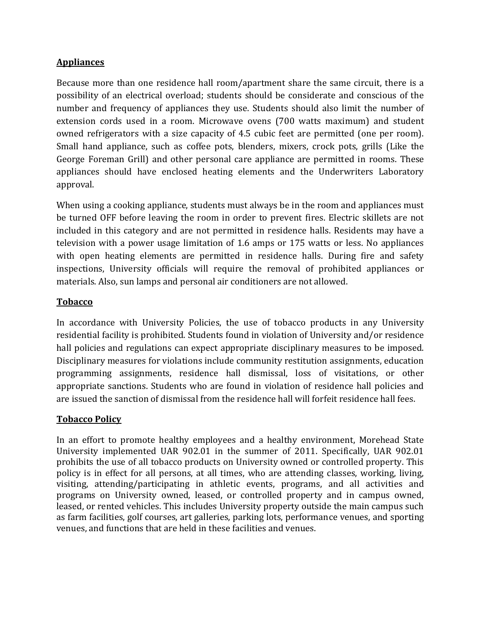# **Appliances**

Because more than one residence hall room/apartment share the same circuit, there is a possibility of an electrical overload; students should be considerate and conscious of the number and frequency of appliances they use. Students should also limit the number of extension cords used in a room. Microwave ovens (700 watts maximum) and student owned refrigerators with a size capacity of 4.5 cubic feet are permitted (one per room). Small hand appliance, such as coffee pots, blenders, mixers, crock pots, grills (Like the George Foreman Grill) and other personal care appliance are permitted in rooms. These appliances should have enclosed heating elements and the Underwriters Laboratory approval.

When using a cooking appliance, students must always be in the room and appliances must be turned OFF before leaving the room in order to prevent fires. Electric skillets are not included in this category and are not permitted in residence halls. Residents may have a television with a power usage limitation of 1.6 amps or 175 watts or less. No appliances with open heating elements are permitted in residence halls. During fire and safety inspections, University officials will require the removal of prohibited appliances or materials. Also, sun lamps and personal air conditioners are not allowed.

# **Tobacco**

In accordance with University Policies, the use of tobacco products in any University residential facility is prohibited. Students found in violation of University and/or residence hall policies and regulations can expect appropriate disciplinary measures to be imposed. Disciplinary measures for violations include community restitution assignments, education programming assignments, residence hall dismissal, loss of visitations, or other appropriate sanctions. Students who are found in violation of residence hall policies and are issued the sanction of dismissal from the residence hall will forfeit residence hall fees.

#### **Tobacco Policy**

In an effort to promote healthy employees and a healthy environment, Morehead State University implemented UAR 902.01 in the summer of 2011. Specifically, UAR 902.01 prohibits the use of all tobacco products on University owned or controlled property. This policy is in effect for all persons, at all times, who are attending classes, working, living, visiting, attending/participating in athletic events, programs, and all activities and programs on University owned, leased, or controlled property and in campus owned, leased, or rented vehicles. This includes University property outside the main campus such as farm facilities, golf courses, art galleries, parking lots, performance venues, and sporting venues, and functions that are held in these facilities and venues.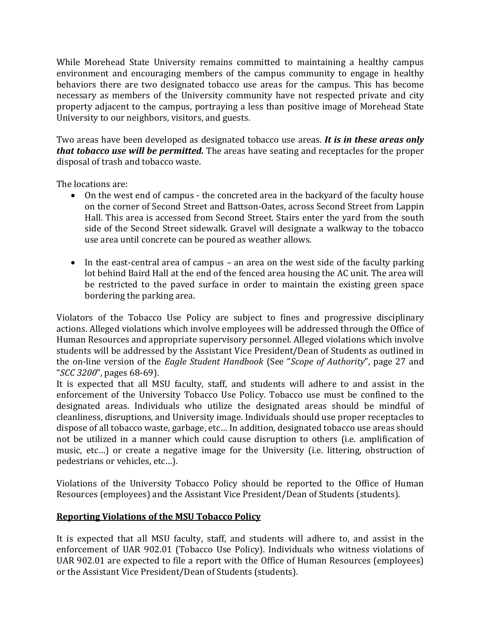While Morehead State University remains committed to maintaining a healthy campus environment and encouraging members of the campus community to engage in healthy behaviors there are two designated tobacco use areas for the campus. This has become necessary as members of the University community have not respected private and city property adjacent to the campus, portraying a less than positive image of Morehead State University to our neighbors, visitors, and guests.

Two areas have been developed as designated tobacco use areas. *It is in these areas only that tobacco-use-will-be-permitted.* The areas have seating and receptacles for the proper disposal of trash and tobacco waste.

The locations are:

- On the west end of campus the concreted area in the backyard of the faculty house on the corner of Second Street and Battson-Oates, across Second Street from Lappin Hall. This area is accessed from Second Street. Stairs enter the vard from the south side of the Second Street sidewalk. Gravel will designate a walkway to the tobacco use area until concrete can be poured as weather allows.
- In the east-central area of campus an area on the west side of the faculty parking lot behind Baird Hall at the end of the fenced area housing the AC unit. The area will be restricted to the paved surface in order to maintain the existing green space bordering the parking area.

Violators of the Tobacco Use Policy are subject to fines and progressive disciplinary actions. Alleged violations which involve employees will be addressed through the Office of Human Resources and appropriate supervisory personnel. Alleged violations which involve students will be addressed by the Assistant Vice President/Dean of Students as outlined in the on-line version of the *Eagle Student Handbook* (See "*Scope of Authority*", page 27 and "SCC 3200", pages 68-69).

It is expected that all MSU faculty, staff, and students will adhere to and assist in the enforcement of the University Tobacco Use Policy. Tobacco use must be confined to the designated areas. Individuals who utilize the designated areas should be mindful of cleanliness, disruptions, and University image. Individuals should use proper receptacles to dispose of all tobacco waste, garbage, etc... In addition, designated tobacco use areas should not be utilized in a manner which could cause disruption to others (i.e. amplification of music, etc...) or create a negative image for the University (i.e. littering, obstruction of pedestrians or vehicles, etc...).

Violations of the University Tobacco Policy should be reported to the Office of Human Resources (employees) and the Assistant Vice President/Dean of Students (students).

# **Reporting'Violations of'the'MSU'Tobacco'Policy'**

It is expected that all MSU faculty, staff, and students will adhere to, and assist in the enforcement of UAR 902.01 (Tobacco Use Policy). Individuals who witness violations of UAR 902.01 are expected to file a report with the Office of Human Resources (employees) or the Assistant Vice President/Dean of Students (students).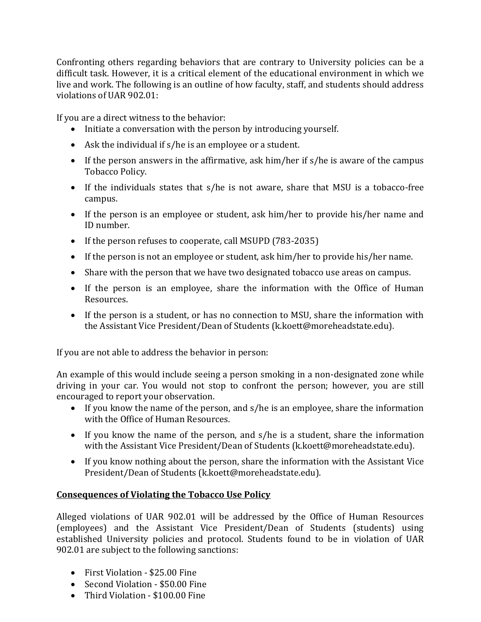Confronting others regarding behaviors that are contrary to University policies can be a difficult task. However, it is a critical element of the educational environment in which we live and work. The following is an outline of how faculty, staff, and students should address violations of UAR 902.01:

If you are a direct witness to the behavior:

- Initiate a conversation with the person by introducing yourself.
- Ask the individual if  $s/he$  is an employee or a student.
- If the person answers in the affirmative, ask him/her if s/he is aware of the campus Tobacco Policy.
- If the individuals states that  $s/he$  is not aware, share that MSU is a tobacco-free campus.
- If the person is an employee or student, ask him/her to provide his/her name and ID number.
- If the person refuses to cooperate, call MSUPD (783-2035)
- $\bullet$  If the person is not an employee or student, ask him/her to provide his/her name.
- Share with the person that we have two designated tobacco use areas on campus.
- If the person is an employee, share the information with the Office of Human Resources.
- If the person is a student, or has no connection to MSU, share the information with the Assistant Vice President/Dean of Students (k.koett@moreheadstate.edu).

If you are not able to address the behavior in person:

An example of this would include seeing a person smoking in a non-designated zone while driving in your car. You would not stop to confront the person; however, you are still encouraged to report your observation.

- If you know the name of the person, and s/he is an employee, share the information with the Office of Human Resources.
- If you know the name of the person, and  $s/h$ e is a student, share the information with the Assistant Vice President/Dean of Students (k.koett@moreheadstate.edu).
- If you know nothing about the person, share the information with the Assistant Vice President/Dean of Students (k.koett@moreheadstate.edu).

# **Consequences of Violating the Tobacco Use Policy**

Alleged violations of UAR 902.01 will be addressed by the Office of Human Resources (employees) and the Assistant Vice President/Dean of Students (students) using established University policies and protocol. Students found to be in violation of UAR  $902.01$  are subject to the following sanctions:

- $\bullet$  First Violation \$25.00 Fine
- $\bullet$  Second Violation \$50.00 Fine
- $\bullet$  Third Violation \$100.00 Fine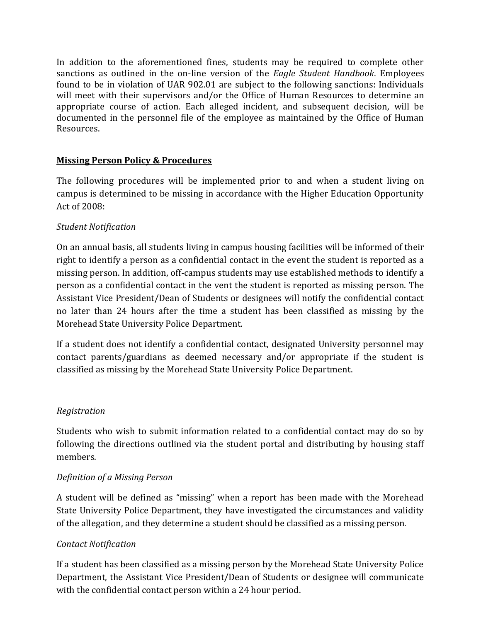In addition to the aforementioned fines, students may be required to complete other sanctions as outlined in the on-line version of the *Eagle Student Handbook*. Employees found to be in violation of UAR 902.01 are subject to the following sanctions: Individuals will meet with their supervisors and/or the Office of Human Resources to determine an appropriate course of action. Each alleged incident, and subsequent decision, will be documented in the personnel file of the employee as maintained by the Office of Human Resources.

# **Missing Person Policy & Procedures**

The following procedures will be implemented prior to and when a student living on campus is determined to be missing in accordance with the Higher Education Opportunity Act of 2008:

# *Student#Notification*

On an annual basis, all students living in campus housing facilities will be informed of their right to identify a person as a confidential contact in the event the student is reported as a missing person. In addition, off-campus students may use established methods to identify a person as a confidential contact in the vent the student is reported as missing person. The Assistant Vice President/Dean of Students or designees will notify the confidential contact no later than 24 hours after the time a student has been classified as missing by the Morehead State University Police Department.

If a student does not identify a confidential contact, designated University personnel may contact parents/guardians as deemed necessary and/or appropriate if the student is classified as missing by the Morehead State University Police Department.

#### *Registration*

Students who wish to submit information related to a confidential contact may do so by following the directions outlined via the student portal and distributing by housing staff members.

#### *Definition of a Missing Person*

A student will be defined as "missing" when a report has been made with the Morehead State University Police Department, they have investigated the circumstances and validity of the allegation, and they determine a student should be classified as a missing person.

#### *Contact#Notification*

If a student has been classified as a missing person by the Morehead State University Police Department, the Assistant Vice President/Dean of Students or designee will communicate with the confidential contact person within a 24 hour period.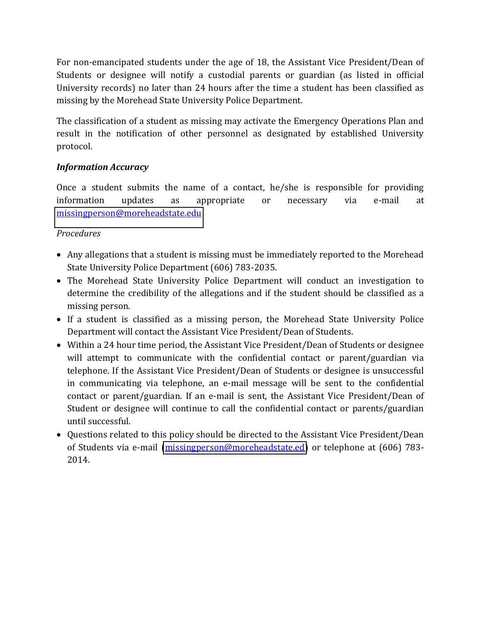For non-emancipated students under the age of 18, the Assistant Vice President/Dean of Students or designee will notify a custodial parents or guardian (as listed in official University records) no later than 24 hours after the time a student has been classified as missing by the Morehead State University Police Department.

The classification of a student as missing may activate the Emergency Operations Plan and result in the notification of other personnel as designated by established University protocol.

# *Information-Accuracy*

Once a student submits the name of a contact,  $he/she$  is responsible for providing information updates as appropriate or necessary via e-mail at [missingperson@moreheadstate.edu](mailto:missingperson@moreheadstate.edu)

# *Procedures*

- Any allegations that a student is missing must be immediately reported to the Morehead State University Police Department (606) 783-2035.
- The Morehead State University Police Department will conduct an investigation to determine the credibility of the allegations and if the student should be classified as a missing person.
- If a student is classified as a missing person, the Morehead State University Police Department will contact the Assistant Vice President/Dean of Students.
- Within a 24 hour time period, the Assistant Vice President/Dean of Students or designee will attempt to communicate with the confidential contact or parent/guardian via telephone. If the Assistant Vice President/Dean of Students or designee is unsuccessful in communicating via telephone, an e-mail message will be sent to the confidential contact or parent/guardian. If an e-mail is sent, the Assistant Vice President/Dean of Student or designee will continue to call the confidential contact or parents/guardian until successful.
- Questions related to this policy should be directed to the Assistant Vice President/Dean of Students via e-mail [\(missingperson@moreheadstate.ed\)](mailto:missingperson@moreheadstate.ed) or telephone at  $(606)$  783-2014.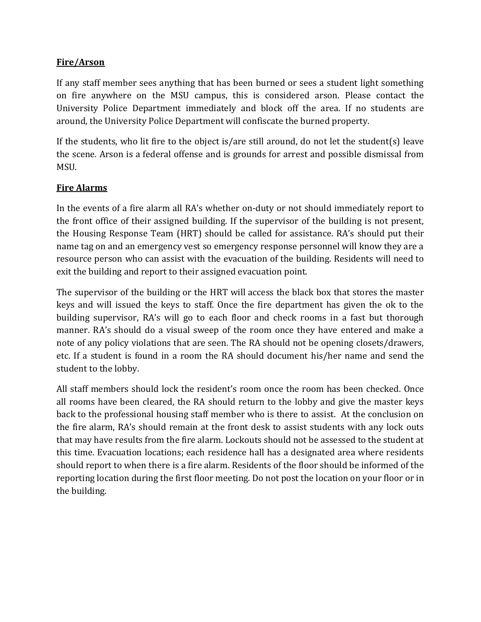# **Fire/Arson**

If any staff member sees anything that has been burned or sees a student light something on fire anywhere on the MSU campus, this is considered arson. Please contact the University Police Department immediately and block off the area. If no students are around, the University Police Department will confiscate the burned property.

If the students, who lit fire to the object is/are still around, do not let the student(s) leave the scene. Arson is a federal offense and is grounds for arrest and possible dismissal from MSU.

# **Fire Alarms**

In the events of a fire alarm all RA's whether on-duty or not should immediately report to the front office of their assigned building. If the supervisor of the building is not present, the Housing Response Team (HRT) should be called for assistance. RA's should put their name tag on and an emergency vest so emergency response personnel will know they are a resource person who can assist with the evacuation of the building. Residents will need to exit the building and report to their assigned evacuation point.

The supervisor of the building or the HRT will access the black box that stores the master keys and will issued the keys to staff. Once the fire department has given the ok to the building supervisor, RA's will go to each floor and check rooms in a fast but thorough manner. RA's should do a visual sweep of the room once they have entered and make a note of any policy violations that are seen. The RA should not be opening closets/drawers, etc. If a student is found in a room the RA should document his/her name and send the student to the lobby.

All staff members should lock the resident's room once the room has been checked. Once all rooms have been cleared, the RA should return to the lobby and give the master keys back to the professional housing staff member who is there to assist. At the conclusion on the fire alarm, RA's should remain at the front desk to assist students with any lock outs that may have results from the fire alarm. Lockouts should not be assessed to the student at this time. Evacuation locations; each residence hall has a designated area where residents should report to when there is a fire alarm. Residents of the floor should be informed of the reporting location during the first floor meeting. Do not post the location on your floor or in the building.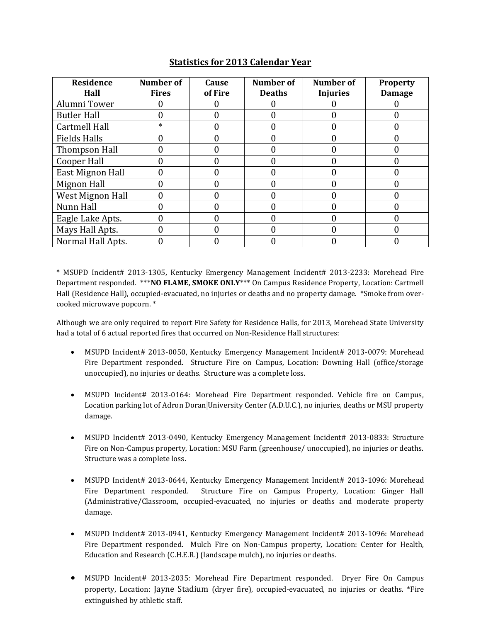| Residence<br>Hall   | Number of<br><b>Fires</b> | <b>Cause</b><br>of Fire | Number of<br><b>Deaths</b> | <b>Number of</b><br><b>Injuries</b> | <b>Property</b><br><b>Damage</b> |
|---------------------|---------------------------|-------------------------|----------------------------|-------------------------------------|----------------------------------|
| Alumni Tower        |                           |                         |                            |                                     |                                  |
| <b>Butler Hall</b>  |                           |                         |                            |                                     |                                  |
| Cartmell Hall       | $\ast$                    |                         |                            |                                     |                                  |
| <b>Fields Halls</b> |                           |                         |                            |                                     |                                  |
| Thompson Hall       |                           |                         |                            |                                     |                                  |
| Cooper Hall         |                           |                         |                            |                                     |                                  |
| East Mignon Hall    |                           |                         |                            |                                     |                                  |
| Mignon Hall         |                           |                         |                            |                                     |                                  |
| West Mignon Hall    |                           |                         |                            |                                     |                                  |
| Nunn Hall           |                           |                         |                            |                                     |                                  |
| Eagle Lake Apts.    |                           |                         |                            |                                     |                                  |
| Mays Hall Apts.     |                           |                         |                            |                                     |                                  |
| Normal Hall Apts.   |                           |                         |                            |                                     |                                  |

# **Statistics'for'2013'Calendar'Year**

\* MSUPD Incident# 2013-1305, Kentucky Emergency Management Incident# 2013-2233: Morehead Fire Department responded. \*\*\***NO FLAME, SMOKE ONLY**\*\*\* On Campus Residence Property, Location: Cartmell Hall (Residence Hall), occupied-evacuated, no injuries or deaths and no property damage. \*Smoke from overcooked microwave popcorn. \*

Although we are only required to report Fire Safety for Residence Halls, for 2013, Morehead State University had a total of 6 actual reported fires that occurred on Non-Residence Hall structures:

- MSUPD Incident# 2013-0050, Kentucky Emergency Management Incident# 2013-0079: Morehead Fire Department responded. Structure Fire on Campus, Location: Downing Hall (office/storage unoccupied), no injuries or deaths. Structure was a complete loss.
- MSUPD Incident# 2013-0164: Morehead Fire Department responded. Vehicle fire on Campus, Location parking lot of Adron Doran University Center (A.D.U.C.), no injuries, deaths or MSU property damage.
- MSUPD Incident# 2013-0490, Kentucky Emergency Management Incident# 2013-0833: Structure Fire on Non-Campus property, Location: MSU Farm (greenhouse/ unoccupied), no injuries or deaths. Structure was a complete loss.
- MSUPD Incident# 2013-0644, Kentucky Emergency Management Incident# 2013-1096: Morehead Fire Department responded. Structure Fire on Campus Property, Location: Ginger Hall (Administrative/Classroom, occupied-evacuated, no injuries or deaths and moderate property damage.
- MSUPD Incident# 2013-0941, Kentucky Emergency Management Incident# 2013-1096: Morehead Fire Department responded. Mulch Fire on Non-Campus property, Location: Center for Health, Education and Research (C.H.E.R.) (landscape mulch), no injuries or deaths.
- MSUPD Incident# 2013-2035: Morehead Fire Department responded. Dryer Fire On Campus property, Location: Jayne Stadium (dryer fire), occupied-evacuated, no injuries or deaths. \*Fire extinguished by athletic staff.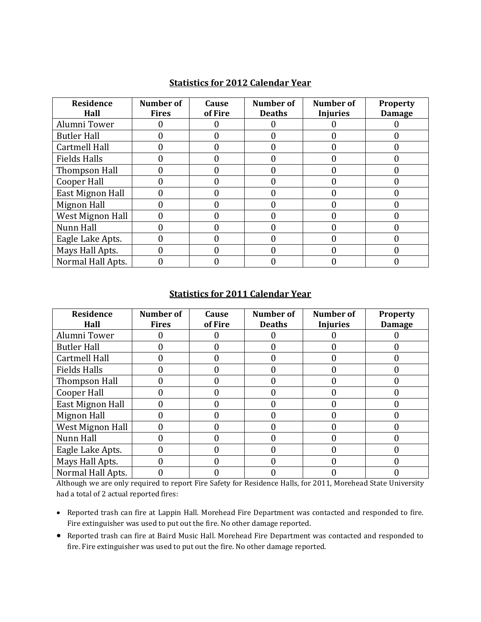| <b>Residence</b><br>Hall | Number of<br><b>Fires</b> | Cause<br>of Fire | Number of<br><b>Deaths</b> | Number of<br><b>Injuries</b> | <b>Property</b><br><b>Damage</b> |
|--------------------------|---------------------------|------------------|----------------------------|------------------------------|----------------------------------|
| Alumni Tower             |                           |                  |                            |                              |                                  |
| <b>Butler Hall</b>       |                           |                  |                            |                              |                                  |
| Cartmell Hall            |                           |                  |                            |                              |                                  |
| <b>Fields Halls</b>      |                           |                  |                            |                              |                                  |
| Thompson Hall            |                           |                  |                            |                              |                                  |
| Cooper Hall              |                           |                  |                            |                              |                                  |
| East Mignon Hall         |                           |                  |                            |                              |                                  |
| Mignon Hall              |                           |                  |                            |                              |                                  |
| West Mignon Hall         |                           |                  |                            |                              |                                  |
| Nunn Hall                |                           |                  |                            |                              |                                  |
| Eagle Lake Apts.         |                           |                  |                            |                              |                                  |
| Mays Hall Apts.          |                           |                  |                            |                              |                                  |
| Normal Hall Apts.        |                           |                  |                            |                              |                                  |

#### **Statistics for 2012 Calendar Year**

#### **Statistics for 2011 Calendar Year**

| <b>Residence</b>    | <b>Number of</b> | Cause   | Number of     | Number of       | <b>Property</b> |
|---------------------|------------------|---------|---------------|-----------------|-----------------|
| Hall                | <b>Fires</b>     | of Fire | <b>Deaths</b> | <b>Injuries</b> | <b>Damage</b>   |
| Alumni Tower        |                  |         |               |                 |                 |
| <b>Butler Hall</b>  |                  |         |               |                 |                 |
| Cartmell Hall       |                  |         |               |                 |                 |
| <b>Fields Halls</b> |                  |         |               |                 |                 |
| Thompson Hall       |                  |         |               |                 |                 |
| Cooper Hall         |                  |         |               |                 |                 |
| East Mignon Hall    |                  |         |               |                 |                 |
| Mignon Hall         |                  |         |               |                 |                 |
| West Mignon Hall    |                  |         |               |                 |                 |
| Nunn Hall           |                  |         |               |                 |                 |
| Eagle Lake Apts.    |                  |         |               |                 |                 |
| Mays Hall Apts.     |                  |         |               |                 |                 |
| Normal Hall Apts.   |                  |         |               |                 |                 |

Although we are only required to report Fire Safety for Residence Halls, for 2011, Morehead State University had a total of 2 actual reported fires:

- Reported trash can fire at Lappin Hall. Morehead Fire Department was contacted and responded to fire. Fire extinguisher was used to put out the fire. No other damage reported.
- Reported trash can fire at Baird Music Hall. Morehead Fire Department was contacted and responded to fire. Fire extinguisher was used to put out the fire. No other damage reported.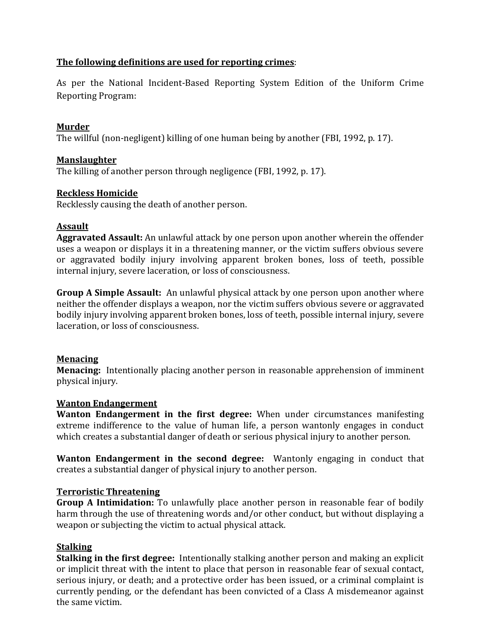# The following definitions are used for reporting crimes:

As per the National Incident-Based Reporting System Edition of the Uniform Crime Reporting Program:

### **Murder'**

The willful (non-negligent) killing of one human being by another (FBI, 1992, p. 17).

#### **Manslaughter'**

The killing of another person through negligence (FBI, 1992, p. 17).

# **Reckless'Homicide**

Recklessly causing the death of another person.

#### **Assault'**

Aggravated Assault: An unlawful attack by one person upon another wherein the offender uses a weapon or displays it in a threatening manner, or the victim suffers obvious severe or aggravated bodily injury involving apparent broken bones, loss of teeth, possible internal injury, severe laceration, or loss of consciousness.

**Group A Simple Assault:** An unlawful physical attack by one person upon another where neither the offender displays a weapon, nor the victim suffers obvious severe or aggravated bodily injury involving apparent broken bones, loss of teeth, possible internal injury, severe laceration, or loss of consciousness.

#### **Menacing'**

**Menacing:** Intentionally placing another person in reasonable apprehension of imminent physical injury.

#### **Wanton'Endangerment'**

**Wanton Endangerment in the first degree:** When under circumstances manifesting extreme indifference to the value of human life, a person wantonly engages in conduct which creates a substantial danger of death or serious physical injury to another person.

**Wanton Endangerment in the second degree:** Wantonly engaging in conduct that creates a substantial danger of physical injury to another person.

#### **Terroristic'Threatening'**

**Group A Intimidation:** To unlawfully place another person in reasonable fear of bodily harm through the use of threatening words and/or other conduct, but without displaying a weapon or subjecting the victim to actual physical attack.

#### **Stalking'**

**Stalking in the first degree:** Intentionally stalking another person and making an explicit or implicit threat with the intent to place that person in reasonable fear of sexual contact, serious injury, or death; and a protective order has been issued, or a criminal complaint is currently pending, or the defendant has been convicted of a Class A misdemeanor against the same victim.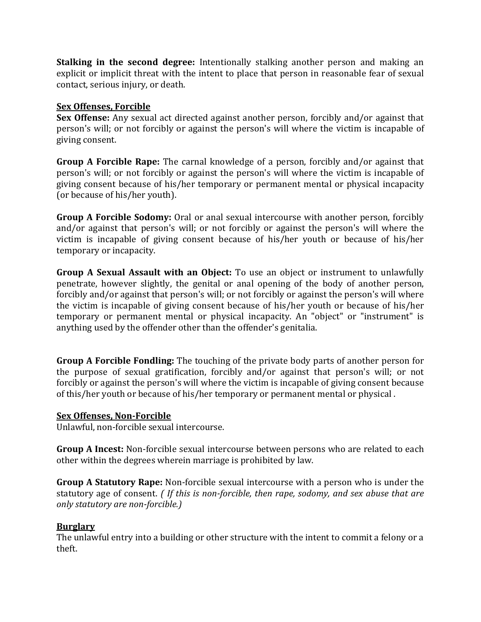**Stalking in the second degree:** Intentionally stalking another person and making an explicit or implicit threat with the intent to place that person in reasonable fear of sexual contact, serious injury, or death.

#### **Sex Offenses, Forcible**

**Sex Offense:** Any sexual act directed against another person, forcibly and/or against that person's will; or not forcibly or against the person's will where the victim is incapable of giving consent.

**Group A Forcible Rape:** The carnal knowledge of a person, forcibly and/or against that person's will; or not forcibly or against the person's will where the victim is incapable of giving consent because of his/her temporary or permanent mental or physical incapacity (or because of his/her youth).

**Group A Forcible Sodomy:** Oral or anal sexual intercourse with another person, forcibly and/or against that person's will; or not forcibly or against the person's will where the victim is incapable of giving consent because of his/her youth or because of his/her temporary or incapacity.

**Group A Sexual Assault with an Object:** To use an object or instrument to unlawfully penetrate, however slightly, the genital or anal opening of the body of another person, forcibly and/or against that person's will; or not forcibly or against the person's will where the victim is incapable of giving consent because of his/her youth or because of his/her temporary or permanent mental or physical incapacity. An "object" or "instrument" is anything used by the offender other than the offender's genitalia.

**Group A Forcible Fondling:** The touching of the private body parts of another person for the purpose of sexual gratification, forcibly and/or against that person's will; or not forcibly or against the person's will where the victim is incapable of giving consent because of this/her youth or because of his/her temporary or permanent mental or physical.

#### **Sex Offenses, Non-Forcible**

Unlawful, non-forcible sexual intercourse.

**Group A Incest:** Non-forcible sexual intercourse between persons who are related to each other within the degrees wherein marriage is prohibited by law.

**Group A Statutory Rape:** Non-forcible sexual intercourse with a person who is under the statutory age of consent. *(If this is non-forcible, then rape, sodomy, and sex abuse that are only statutory are non-forcible.)* 

#### **Burglary'**

The unlawful entry into a building or other structure with the intent to commit a felony or a theft.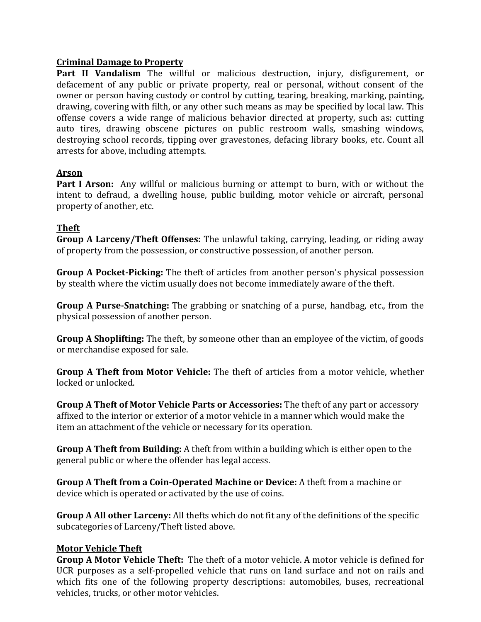### **Criminal'Damage'to'Property'**

Part II Vandalism The willful or malicious destruction, injury, disfigurement, or defacement of any public or private property, real or personal, without consent of the owner or person having custody or control by cutting, tearing, breaking, marking, painting, drawing, covering with filth, or any other such means as may be specified by local law. This offense covers a wide range of malicious behavior directed at property, such as: cutting auto tires, drawing obscene pictures on public restroom walls, smashing windows, destroying school records, tipping over gravestones, defacing library books, etc. Count all arrests for above, including attempts.

# **Arson'**

**Part I Arson:** Any willful or malicious burning or attempt to burn, with or without the intent to defraud, a dwelling house, public building, motor vehicle or aircraft, personal property of another, etc.

# **Theft'**

**Group A Larceny/Theft Offenses:** The unlawful taking, carrying, leading, or riding away of property from the possession, or constructive possession, of another person.

**Group A Pocket-Picking:** The theft of articles from another person's physical possession by stealth where the victim usually does not become immediately aware of the theft.

**Group A Purse-Snatching:** The grabbing or snatching of a purse, handbag, etc., from the physical possession of another person.

**Group A Shoplifting:** The theft, by someone other than an employee of the victim, of goods or merchandise exposed for sale.

**Group A Theft from Motor Vehicle:** The theft of articles from a motor vehicle, whether locked or unlocked.

**Group A Theft of Motor Vehicle Parts or Accessories:** The theft of any part or accessory affixed to the interior or exterior of a motor vehicle in a manner which would make the item an attachment of the vehicle or necessary for its operation.

**Group A Theft from Building:** A theft from within a building which is either open to the general public or where the offender has legal access.

**Group A Theft from a Coin-Operated Machine or Device:** A theft from a machine or device which is operated or activated by the use of coins.

**Group A All other Larceny:** All thefts which do not fit any of the definitions of the specific subcategories of Larceny/Theft listed above.

# **Motor Vehicle Theft**

**Group A Motor Vehicle Theft:** The theft of a motor vehicle. A motor vehicle is defined for UCR purposes as a self-propelled vehicle that runs on land surface and not on rails and which fits one of the following property descriptions: automobiles, buses, recreational vehicles, trucks, or other motor vehicles.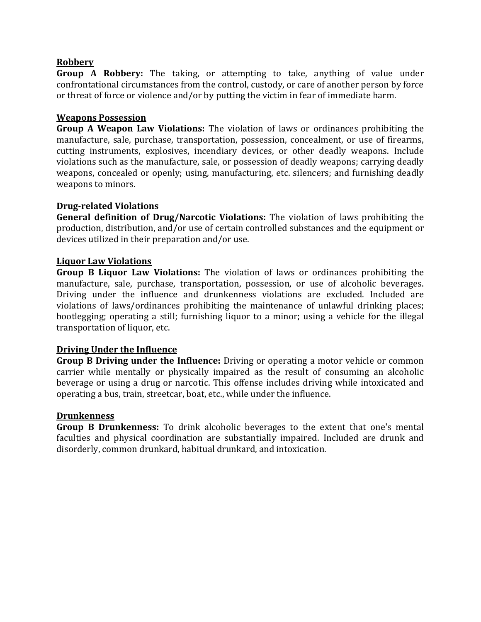#### **Robbery'**

**Group A Robbery:** The taking, or attempting to take, anything of value under confrontational circumstances from the control, custody, or care of another person by force or threat of force or violence and/or by putting the victim in fear of immediate harm.

#### **Weapons'Possession'**

**Group A Weapon Law Violations:** The violation of laws or ordinances prohibiting the manufacture, sale, purchase, transportation, possession, concealment, or use of firearms, cutting instruments, explosives, incendiary devices, or other deadly weapons. Include violations such as the manufacture, sale, or possession of deadly weapons; carrying deadly weapons, concealed or openly; using, manufacturing, etc. silencers; and furnishing deadly weapons to minors.

#### **Drug-related Violations**

**General definition of Drug/Narcotic Violations:** The violation of laws prohibiting the production, distribution, and/or use of certain controlled substances and the equipment or devices utilized in their preparation and/or use.

#### **Liquor'Law'Violations'**

**Group B Liquor Law Violations:** The violation of laws or ordinances prohibiting the manufacture, sale, purchase, transportation, possession, or use of alcoholic beverages. Driving under the influence and drunkenness violations are excluded. Included are violations of laws/ordinances prohibiting the maintenance of unlawful drinking places; bootlegging; operating a still; furnishing liquor to a minor; using a vehicle for the illegal transportation of liquor, etc.

#### **Driving Under the Influence**

**Group B Driving under the Influence:** Driving or operating a motor vehicle or common carrier while mentally or physically impaired as the result of consuming an alcoholic beverage or using a drug or narcotic. This offense includes driving while intoxicated and operating a bus, train, streetcar, boat, etc., while under the influence.

#### **Drunkenness'**

**Group B Drunkenness:** To drink alcoholic beverages to the extent that one's mental faculties and physical coordination are substantially impaired. Included are drunk and disorderly, common drunkard, habitual drunkard, and intoxication.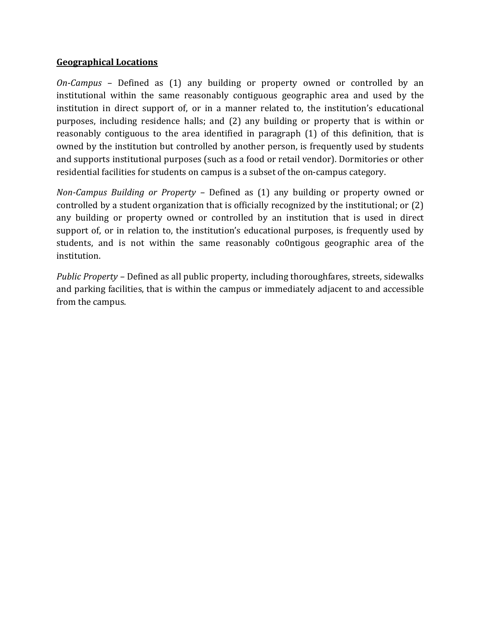#### **Geographical'Locations**

*On-Campus* – Defined as (1) any building or property owned or controlled by an institutional within the same reasonably contiguous geographic area and used by the institution in direct support of, or in a manner related to, the institution's educational purposes, including residence halls; and (2) any building or property that is within or reasonably contiguous to the area identified in paragraph (1) of this definition, that is owned by the institution but controlled by another person, is frequently used by students and supports institutional purposes (such as a food or retail vendor). Dormitories or other residential facilities for students on campus is a subset of the on-campus category.

*Non-Campus Building or Property – Defined as (1) any building or property owned or* controlled by a student organization that is officially recognized by the institutional; or  $(2)$ any building or property owned or controlled by an institution that is used in direct support of, or in relation to, the institution's educational purposes, is frequently used by students, and is not within the same reasonably co0ntigous geographic area of the institution.

*Public Property - Defined as all public property, including thoroughfares, streets, sidewalks* and parking facilities, that is within the campus or immediately adjacent to and accessible from the campus.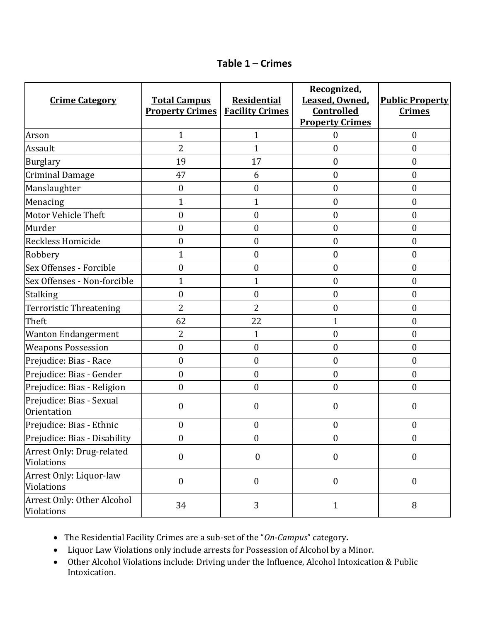| Table $1 -$ Crimes |  |
|--------------------|--|
|--------------------|--|

| <b>Crime Category</b>                    | <b>Total Campus</b><br><b>Property Crimes</b> | <b>Residential</b><br><b>Facility Crimes</b> | Recognized,<br>Leased, Owned,<br><b>Controlled</b><br><b>Property Crimes</b> | <b>Public Property</b><br><b>Crimes</b> |
|------------------------------------------|-----------------------------------------------|----------------------------------------------|------------------------------------------------------------------------------|-----------------------------------------|
| Arson                                    | $\mathbf{1}$                                  | $\mathbf{1}$                                 | $\boldsymbol{0}$                                                             | $\boldsymbol{0}$                        |
| Assault                                  | $\overline{2}$                                | $\mathbf{1}$                                 | $\boldsymbol{0}$                                                             | $\boldsymbol{0}$                        |
| <b>Burglary</b>                          | 19                                            | 17                                           | $\boldsymbol{0}$                                                             | $\boldsymbol{0}$                        |
| <b>Criminal Damage</b>                   | 47                                            | 6                                            | $\boldsymbol{0}$                                                             | $\boldsymbol{0}$                        |
| Manslaughter                             | $\boldsymbol{0}$                              | $\boldsymbol{0}$                             | $\boldsymbol{0}$                                                             | $\boldsymbol{0}$                        |
| Menacing                                 | $\mathbf{1}$                                  | 1                                            | $\boldsymbol{0}$                                                             | $\boldsymbol{0}$                        |
| Motor Vehicle Theft                      | $\boldsymbol{0}$                              | $\boldsymbol{0}$                             | $\boldsymbol{0}$                                                             | $\boldsymbol{0}$                        |
| Murder                                   | $\boldsymbol{0}$                              | 0                                            | $\boldsymbol{0}$                                                             | $\boldsymbol{0}$                        |
| Reckless Homicide                        | $\boldsymbol{0}$                              | $\boldsymbol{0}$                             | $\boldsymbol{0}$                                                             | $\boldsymbol{0}$                        |
| Robbery                                  | 1                                             | $\boldsymbol{0}$                             | $\boldsymbol{0}$                                                             | $\boldsymbol{0}$                        |
| Sex Offenses - Forcible                  | $\boldsymbol{0}$                              | $\boldsymbol{0}$                             | $\boldsymbol{0}$                                                             | $\boldsymbol{0}$                        |
| Sex Offenses - Non-forcible              | 1                                             | $\mathbf{1}$                                 | $\boldsymbol{0}$                                                             | $\boldsymbol{0}$                        |
| <b>Stalking</b>                          | $\boldsymbol{0}$                              | 0                                            | $\boldsymbol{0}$                                                             | $\boldsymbol{0}$                        |
| Terroristic Threatening                  | $\overline{2}$                                | $\overline{2}$                               | $\boldsymbol{0}$                                                             | $\boldsymbol{0}$                        |
| Theft                                    | 62                                            | 22                                           | $\mathbf{1}$                                                                 | $\boldsymbol{0}$                        |
| <b>Wanton Endangerment</b>               | 2                                             | $\mathbf{1}$                                 | $\boldsymbol{0}$                                                             | $\boldsymbol{0}$                        |
| <b>Weapons Possession</b>                | $\boldsymbol{0}$                              | $\boldsymbol{0}$                             | $\boldsymbol{0}$                                                             | $\boldsymbol{0}$                        |
| Prejudice: Bias - Race                   | $\boldsymbol{0}$                              | $\boldsymbol{0}$                             | $\boldsymbol{0}$                                                             | $\boldsymbol{0}$                        |
| Prejudice: Bias - Gender                 | $\boldsymbol{0}$                              | $\boldsymbol{0}$                             | $\boldsymbol{0}$                                                             | $\boldsymbol{0}$                        |
| Prejudice: Bias - Religion               | $\boldsymbol{0}$                              | $\boldsymbol{0}$                             | $\boldsymbol{0}$                                                             | $\boldsymbol{0}$                        |
| Prejudice: Bias - Sexual<br>Orientation  | $\boldsymbol{0}$                              | 0                                            | $\boldsymbol{0}$                                                             | $\boldsymbol{0}$                        |
| Prejudice: Bias - Ethnic                 | $\boldsymbol{0}$                              | $\boldsymbol{0}$                             | $\boldsymbol{0}$                                                             | $\boldsymbol{0}$                        |
| Prejudice: Bias - Disability             | $\boldsymbol{0}$                              | $\boldsymbol{0}$                             | $\boldsymbol{0}$                                                             | $\boldsymbol{0}$                        |
| Arrest Only: Drug-related<br>Violations  | $\boldsymbol{0}$                              | $\boldsymbol{0}$                             | $\boldsymbol{0}$                                                             | $\boldsymbol{0}$                        |
| Arrest Only: Liquor-law<br>Violations    | $\boldsymbol{0}$                              | $\boldsymbol{0}$                             | $\boldsymbol{0}$                                                             | $\boldsymbol{0}$                        |
| Arrest Only: Other Alcohol<br>Violations | 34                                            | 3                                            | $\mathbf{1}$                                                                 | 8                                       |

• The Residential Facility Crimes are a sub-set of the "On-Campus" category.

• Liquor Law Violations only include arrests for Possession of Alcohol by a Minor.

• Other Alcohol Violations include: Driving under the Influence, Alcohol Intoxication & Public Intoxication.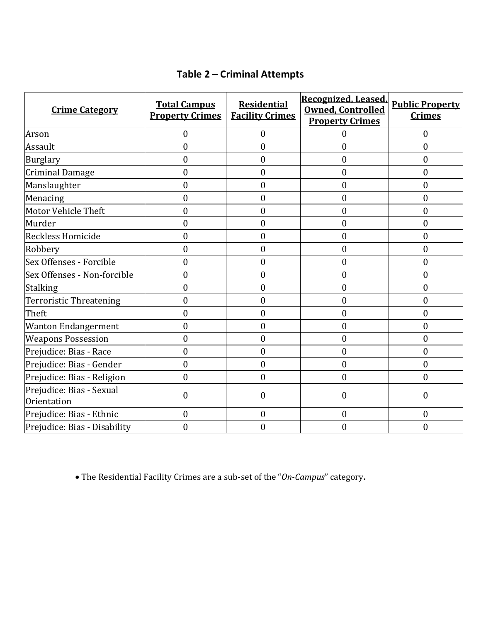# **Table&2&ʹ Criminal&Attempts**

| <b>Crime Category</b>                   | <b>Total Campus</b><br><b>Property Crimes</b> | <b>Residential</b><br><b>Facility Crimes</b> | Recognized, Leased,<br><b>Owned, Controlled</b><br><b>Property Crimes</b> | <b>Public Property</b><br><b>Crimes</b> |
|-----------------------------------------|-----------------------------------------------|----------------------------------------------|---------------------------------------------------------------------------|-----------------------------------------|
| Arson                                   | 0                                             | $\mathbf{0}$                                 | $\Omega$                                                                  | $\mathbf{0}$                            |
| Assault                                 | $\overline{0}$                                | $\overline{0}$                               | $\boldsymbol{0}$                                                          | $\boldsymbol{0}$                        |
| <b>Burglary</b>                         | $\mathbf{0}$                                  | $\boldsymbol{0}$                             | $\mathbf{0}$                                                              | $\mathbf{0}$                            |
| <b>Criminal Damage</b>                  | $\overline{0}$                                | $\overline{0}$                               | $\boldsymbol{0}$                                                          | $\boldsymbol{0}$                        |
| Manslaughter                            | $\overline{0}$                                | $\boldsymbol{0}$                             | $\boldsymbol{0}$                                                          | $\boldsymbol{0}$                        |
| Menacing                                | $\boldsymbol{0}$                              | $\boldsymbol{0}$                             | $\boldsymbol{0}$                                                          | $\boldsymbol{0}$                        |
| Motor Vehicle Theft                     | $\overline{0}$                                | $\mathbf{0}$                                 | $\overline{0}$                                                            | $\mathbf{0}$                            |
| Murder                                  | $\overline{0}$                                | $\overline{0}$                               | $\mathbf{0}$                                                              | $\mathbf{0}$                            |
| Reckless Homicide                       | $\boldsymbol{0}$                              | $\boldsymbol{0}$                             | $\boldsymbol{0}$                                                          | $\boldsymbol{0}$                        |
| Robbery                                 | $\boldsymbol{0}$                              | $\boldsymbol{0}$                             | $\boldsymbol{0}$                                                          | $\boldsymbol{0}$                        |
| Sex Offenses - Forcible                 | $\mathbf{0}$                                  | $\overline{0}$                               | $\boldsymbol{0}$                                                          | $\boldsymbol{0}$                        |
| Sex Offenses - Non-forcible             | $\overline{0}$                                | $\overline{0}$                               | $\boldsymbol{0}$                                                          | $\boldsymbol{0}$                        |
| <b>Stalking</b>                         | $\mathbf{0}$                                  | $\boldsymbol{0}$                             | $\boldsymbol{0}$                                                          | $\boldsymbol{0}$                        |
| Terroristic Threatening                 | $\overline{0}$                                | $\overline{0}$                               | $\overline{0}$                                                            | $\boldsymbol{0}$                        |
| Theft                                   | $\overline{0}$                                | $\overline{0}$                               | $\boldsymbol{0}$                                                          | $\mathbf{0}$                            |
| <b>Wanton Endangerment</b>              | 0                                             | $\overline{0}$                               | $\boldsymbol{0}$                                                          | $\boldsymbol{0}$                        |
| <b>Weapons Possession</b>               | $\mathbf{0}$                                  | $\boldsymbol{0}$                             | $\boldsymbol{0}$                                                          | $\boldsymbol{0}$                        |
| Prejudice: Bias - Race                  | $\theta$                                      | $\overline{0}$                               | $\overline{0}$                                                            | $\mathbf{0}$                            |
| Prejudice: Bias - Gender                | $\overline{0}$                                | $\boldsymbol{0}$                             | $\boldsymbol{0}$                                                          | $\boldsymbol{0}$                        |
| Prejudice: Bias - Religion              | $\mathbf{0}$                                  | $\boldsymbol{0}$                             | $\boldsymbol{0}$                                                          | $\mathbf{0}$                            |
| Prejudice: Bias - Sexual<br>Orientation | $\boldsymbol{0}$                              | $\overline{0}$                               | $\overline{0}$                                                            | 0                                       |
| Prejudice: Bias - Ethnic                | $\mathbf{0}$                                  | $\boldsymbol{0}$                             | $\boldsymbol{0}$                                                          | $\boldsymbol{0}$                        |
| Prejudice: Bias - Disability            | 0                                             | $\overline{0}$                               | $\overline{0}$                                                            | $\overline{0}$                          |

• The Residential Facility Crimes are a sub-set of the "On-Campus" category.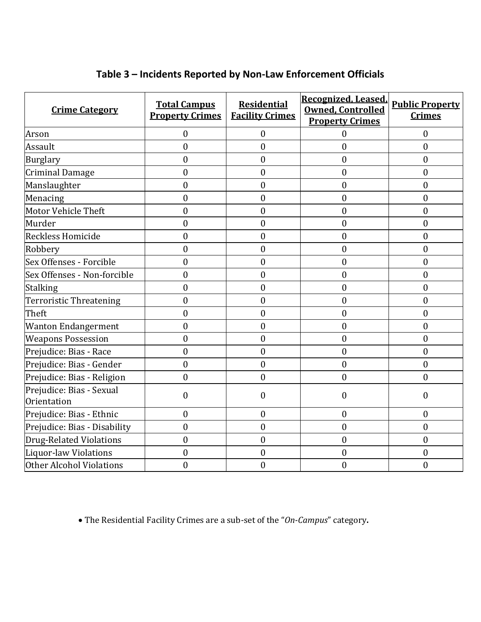| <b>Crime Category</b>                   | <b>Total Campus</b><br><b>Property Crimes</b> | <b>Residential</b><br><b>Facility Crimes</b> | Recognized, Leased,<br><b>Owned, Controlled</b><br><b>Property Crimes</b> | <b>Public Property</b><br><b>Crimes</b> |
|-----------------------------------------|-----------------------------------------------|----------------------------------------------|---------------------------------------------------------------------------|-----------------------------------------|
| Arson                                   | $\overline{0}$                                | $\boldsymbol{0}$                             | $\overline{0}$                                                            | $\mathbf{0}$                            |
| Assault                                 | $\overline{0}$                                | $\overline{0}$                               | $\boldsymbol{0}$                                                          | $\mathbf{0}$                            |
| Burglary                                | $\boldsymbol{0}$                              | $\boldsymbol{0}$                             | $\boldsymbol{0}$                                                          | $\mathbf{0}$                            |
| <b>Criminal Damage</b>                  | $\boldsymbol{0}$                              | $\boldsymbol{0}$                             | $\boldsymbol{0}$                                                          | $\boldsymbol{0}$                        |
| Manslaughter                            | $\boldsymbol{0}$                              | $\boldsymbol{0}$                             | $\boldsymbol{0}$                                                          | $\boldsymbol{0}$                        |
| Menacing                                | $\boldsymbol{0}$                              | $\boldsymbol{0}$                             | $\boldsymbol{0}$                                                          | $\boldsymbol{0}$                        |
| Motor Vehicle Theft                     | $\overline{0}$                                | $\overline{0}$                               | $\boldsymbol{0}$                                                          | $\mathbf{0}$                            |
| Murder                                  | $\overline{0}$                                | $\boldsymbol{0}$                             | $\boldsymbol{0}$                                                          | $\boldsymbol{0}$                        |
| Reckless Homicide                       | $\overline{0}$                                | $\boldsymbol{0}$                             | $\boldsymbol{0}$                                                          | $\mathbf{0}$                            |
| Robbery                                 | $\overline{0}$                                | $\boldsymbol{0}$                             | $\boldsymbol{0}$                                                          | $\mathbf{0}$                            |
| Sex Offenses - Forcible                 | $\overline{0}$                                | $\boldsymbol{0}$                             | $\boldsymbol{0}$                                                          | $\mathbf{0}$                            |
| Sex Offenses - Non-forcible             | $\overline{0}$                                | $\boldsymbol{0}$                             | $\boldsymbol{0}$                                                          | $\boldsymbol{0}$                        |
| <b>Stalking</b>                         | $\overline{0}$                                | $\overline{0}$                               | $\boldsymbol{0}$                                                          | $\mathbf{0}$                            |
| <b>Terroristic Threatening</b>          | $\overline{0}$                                | $\overline{0}$                               | $\boldsymbol{0}$                                                          | $\mathbf{0}$                            |
| Theft                                   | $\overline{0}$                                | $\boldsymbol{0}$                             | $\boldsymbol{0}$                                                          | $\mathbf{0}$                            |
| <b>Wanton Endangerment</b>              | $\overline{0}$                                | $\boldsymbol{0}$                             | $\boldsymbol{0}$                                                          | $\mathbf{0}$                            |
| <b>Weapons Possession</b>               | $\boldsymbol{0}$                              | $\overline{0}$                               | $\mathbf{0}$                                                              | $\mathbf{0}$                            |
| Prejudice: Bias - Race                  | $\boldsymbol{0}$                              | $\boldsymbol{0}$                             | $\boldsymbol{0}$                                                          | $\mathbf{0}$                            |
| Prejudice: Bias - Gender                | $\boldsymbol{0}$                              | $\boldsymbol{0}$                             | $\boldsymbol{0}$                                                          | $\boldsymbol{0}$                        |
| Prejudice: Bias - Religion              | $\boldsymbol{0}$                              | $\overline{0}$                               | $\boldsymbol{0}$                                                          | $\mathbf{0}$                            |
| Prejudice: Bias - Sexual<br>Orientation | $\boldsymbol{0}$                              | $\boldsymbol{0}$                             | $\boldsymbol{0}$                                                          | $\boldsymbol{0}$                        |
| Prejudice: Bias - Ethnic                | $\boldsymbol{0}$                              | $\boldsymbol{0}$                             | $\boldsymbol{0}$                                                          | $\boldsymbol{0}$                        |
| Prejudice: Bias - Disability            | $\boldsymbol{0}$                              | $\boldsymbol{0}$                             | $\mathbf{0}$                                                              | $\boldsymbol{0}$                        |
| <b>Drug-Related Violations</b>          | $\overline{0}$                                | $\mathbf{0}$                                 | $\mathbf{0}$                                                              | $\overline{0}$                          |
| <b>Liquor-law Violations</b>            | $\boldsymbol{0}$                              | $\boldsymbol{0}$                             | $\boldsymbol{0}$                                                          | $\boldsymbol{0}$                        |
| Other Alcohol Violations                | $\overline{0}$                                | $\overline{0}$                               | $\overline{0}$                                                            | $\overline{0}$                          |

# Table 3 - Incidents Reported by Non-Law Enforcement Officials

• The Residential Facility Crimes are a sub-set of the "On-Campus" category.